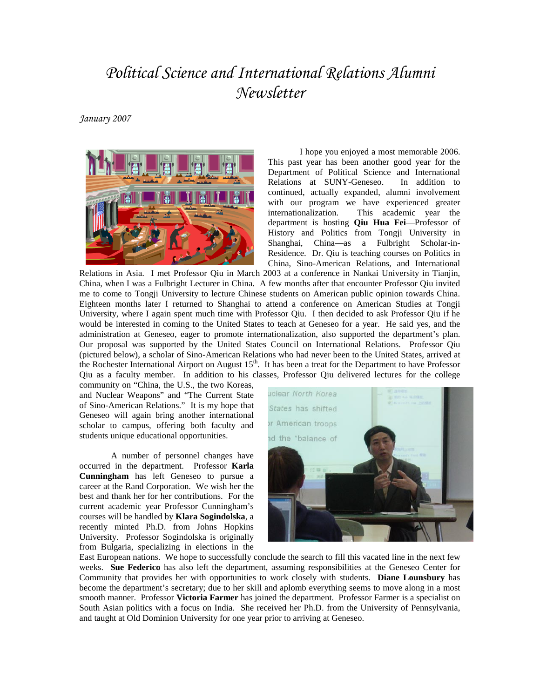## *Political Science and International Relations Alumni Newsletter*

*January 2007*



I hope you enjoyed a most memorable 2006. This past year has been another good year for the Department of Political Science and International Relations at SUNY-Geneseo. In addition to continued, actually expanded, alumni involvement with our program we have experienced greater internationalization. This academic year the department is hosting **Qiu Hua Fei**—Professor of History and Politics from Tongji University in Shanghai, China—as a Fulbright Scholar-in-Residence. Dr. Qiu is teaching courses on Politics in China, Sino-American Relations, and International

Relations in Asia. I met Professor Qiu in March 2003 at a conference in Nankai University in Tianjin, China, when I was a Fulbright Lecturer in China. A few months after that encounter Professor Qiu invited me to come to Tongji University to lecture Chinese students on American public opinion towards China. Eighteen months later I returned to Shanghai to attend a conference on American Studies at Tongji University, where I again spent much time with Professor Qiu. I then decided to ask Professor Qiu if he would be interested in coming to the United States to teach at Geneseo for a year. He said yes, and the administration at Geneseo, eager to promote internationalization, also supported the department's plan. Our proposal was supported by the United States Council on International Relations. Professor Qiu (pictured below), a scholar of Sino-American Relations who had never been to the United States, arrived at the Rochester International Airport on August 15<sup>th</sup>. It has been a treat for the Department to have Professor Qiu as a faculty member. In addition to his classes, Professor Qiu delivered lectures for the college

community on "China, the U.S., the two Koreas, and Nuclear Weapons" and "The Current State of Sino-American Relations." It is my hope that Geneseo will again bring another international scholar to campus, offering both faculty and students unique educational opportunities.

A number of personnel changes have occurred in the department. Professor **Karla Cunningham** has left Geneseo to pursue a career at the Rand Corporation. We wish her the best and thank her for her contributions. For the current academic year Professor Cunningham's courses will be handled by **Klara Sogindolska**, a recently minted Ph.D. from Johns Hopkins University. Professor Sogindolska is originally from Bulgaria, specializing in elections in the



East European nations. We hope to successfully conclude the search to fill this vacated line in the next few weeks. **Sue Federico** has also left the department, assuming responsibilities at the Geneseo Center for Community that provides her with opportunities to work closely with students. **Diane Lounsbury** has become the department's secretary; due to her skill and aplomb everything seems to move along in a most smooth manner. Professor **Victoria Farmer** has joined the department. Professor Farmer is a specialist on South Asian politics with a focus on India. She received her Ph.D. from the University of Pennsylvania, and taught at Old Dominion University for one year prior to arriving at Geneseo.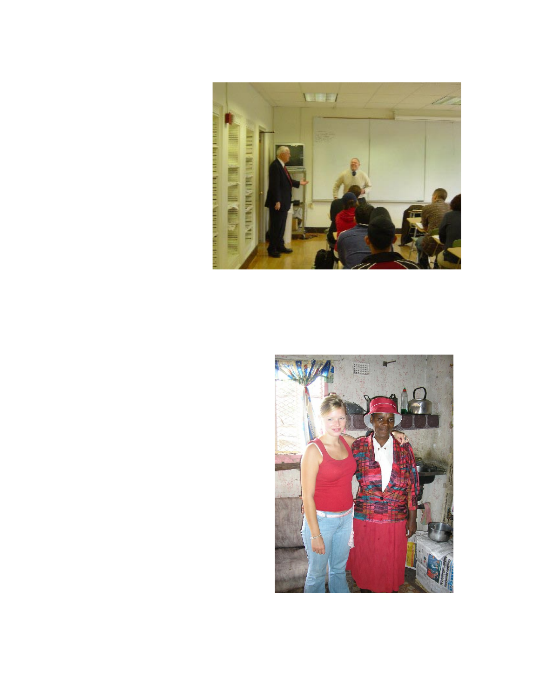

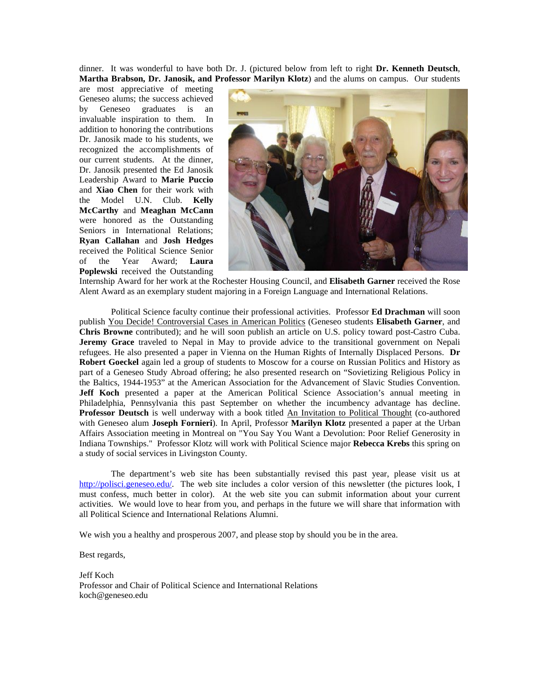dinner. It was wonderful to have both Dr. J. (pictured below from left to right **Dr. Kenneth Deutsch**, **Martha Brabson, Dr. Janosik, and Professor Marilyn Klotz**) and the alums on campus. Our students

are most appreciative of meeting Geneseo alums; the success achieved by Geneseo graduates is an invaluable inspiration to them. In addition to honoring the contributions Dr. Janosik made to his students, we recognized the accomplishments of our current students. At the dinner, Dr. Janosik presented the Ed Janosik Leadership Award to **Marie Puccio** and **Xiao Chen** for their work with the Model U.N. Club. **Kelly McCarthy** and **Meaghan McCann** were honored as the Outstanding Seniors in International Relations; **Ryan Callahan** and **Josh Hedges** received the Political Science Senior<br>of the Year Award: Laura of the Year Award; **Laura Poplewski** received the Outstanding



Internship Award for her work at the Rochester Housing Council, and **Elisabeth Garner** received the Rose Alent Award as an exemplary student majoring in a Foreign Language and International Relations.

Political Science faculty continue their professional activities. Professor **Ed Drachman** will soon publish You Decide! Controversial Cases in American Politics (Geneseo students **Elisabeth Garner**, and **Chris Browne** contributed); and he will soon publish an article on U.S. policy toward post-Castro Cuba. **Jeremy Grace** traveled to Nepal in May to provide advice to the transitional government on Nepali refugees. He also presented a paper in Vienna on the Human Rights of Internally Displaced Persons. **Dr Robert Goeckel** again led a group of students to Moscow for a course on Russian Politics and History as part of a Geneseo Study Abroad offering; he also presented research on "Sovietizing Religious Policy in the Baltics, 1944-1953" at the American Association for the Advancement of Slavic Studies Convention. **Jeff Koch** presented a paper at the American Political Science Association's annual meeting in Philadelphia, Pennsylvania this past September on whether the incumbency advantage has decline. **Professor Deutsch** is well underway with a book titled An Invitation to Political Thought (co-authored with Geneseo alum **Joseph Fornieri**). In April, Professor **Marilyn Klotz** presented a paper at the Urban Affairs Association meeting in Montreal on "You Say You Want a Devolution: Poor Relief Generosity in Indiana Townships." Professor Klotz will work with Political Science major **Rebecca Krebs** this spring on a study of social services in Livingston County.

The department's web site has been substantially revised this past year, please visit us at [http://polisci.geneseo.edu/.](http://polisci.geneseo.edu/) The web site includes a color version of this newsletter (the pictures look, I must confess, much better in color). At the web site you can submit information about your current activities. We would love to hear from you, and perhaps in the future we will share that information with all Political Science and International Relations Alumni.

We wish you a healthy and prosperous 2007, and please stop by should you be in the area.

Best regards,

Jeff Koch Professor and Chair of Political Science and International Relations koch@geneseo.edu